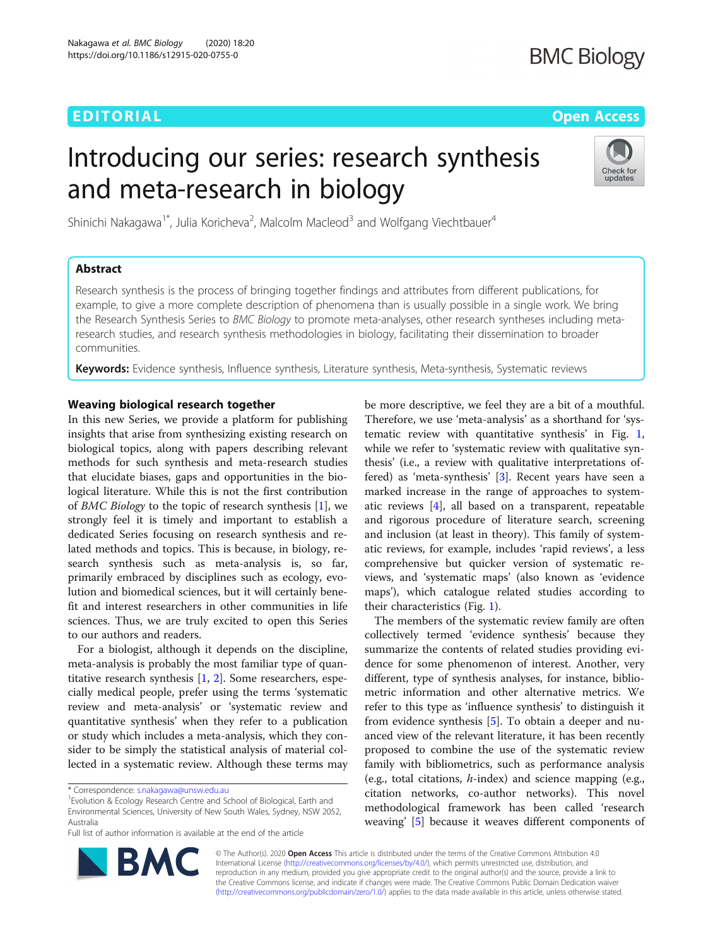# EDITORIAL AND INTERNATIONAL CONTRACT CONTRACT CONTRACT CONTRACT CONTRACT CONTRACT CONTRACT CONTRACT CONTRACT CO

# Introducing our series: research synthesis and meta-research in biology



Shinichi Nakagawa<sup>1\*</sup>, Julia Koricheva<sup>2</sup>, Malcolm Macleod<sup>3</sup> and Wolfgang Viechtbauer<sup>4</sup>

# Abstract

Research synthesis is the process of bringing together findings and attributes from different publications, for example, to give a more complete description of phenomena than is usually possible in a single work. We bring the Research Synthesis Series to BMC Biology to promote meta-analyses, other research syntheses including metaresearch studies, and research synthesis methodologies in biology, facilitating their dissemination to broader communities.

Keywords: Evidence synthesis, Influence synthesis, Literature synthesis, Meta-synthesis, Systematic reviews

## Weaving biological research together

In this new Series, we provide a platform for publishing insights that arise from synthesizing existing research on biological topics, along with papers describing relevant methods for such synthesis and meta-research studies that elucidate biases, gaps and opportunities in the biological literature. While this is not the first contribution of BMC Biology to the topic of research synthesis [\[1\]](#page-2-0), we strongly feel it is timely and important to establish a dedicated Series focusing on research synthesis and related methods and topics. This is because, in biology, research synthesis such as meta-analysis is, so far, primarily embraced by disciplines such as ecology, evolution and biomedical sciences, but it will certainly benefit and interest researchers in other communities in life sciences. Thus, we are truly excited to open this Series to our authors and readers.

For a biologist, although it depends on the discipline, meta-analysis is probably the most familiar type of quantitative research synthesis [\[1](#page-2-0), [2](#page-2-0)]. Some researchers, especially medical people, prefer using the terms 'systematic review and meta-analysis' or 'systematic review and quantitative synthesis' when they refer to a publication or study which includes a meta-analysis, which they consider to be simply the statistical analysis of material collected in a systematic review. Although these terms may

Full list of author information is available at the end of the article

be more descriptive, we feel they are a bit of a mouthful. Therefore, we use 'meta-analysis' as a shorthand for 'systematic review with quantitative synthesis' in Fig. [1](#page-1-0), while we refer to 'systematic review with qualitative synthesis' (i.e., a review with qualitative interpretations offered) as 'meta-synthesis' [\[3](#page-2-0)]. Recent years have seen a marked increase in the range of approaches to systematic reviews [\[4\]](#page-2-0), all based on a transparent, repeatable and rigorous procedure of literature search, screening and inclusion (at least in theory). This family of systematic reviews, for example, includes 'rapid reviews', a less comprehensive but quicker version of systematic reviews, and 'systematic maps' (also known as 'evidence maps'), which catalogue related studies according to their characteristics (Fig. [1](#page-1-0)).

The members of the systematic review family are often collectively termed 'evidence synthesis' because they summarize the contents of related studies providing evidence for some phenomenon of interest. Another, very different, type of synthesis analyses, for instance, bibliometric information and other alternative metrics. We refer to this type as 'influence synthesis' to distinguish it from evidence synthesis [[5\]](#page-2-0). To obtain a deeper and nuanced view of the relevant literature, it has been recently proposed to combine the use of the systematic review family with bibliometrics, such as performance analysis (e.g., total citations,  $h$ -index) and science mapping (e.g., citation networks, co-author networks). This novel methodological framework has been called 'research weaving' [[5\]](#page-2-0) because it weaves different components of



© The Author(s). 2020 Open Access This article is distributed under the terms of the Creative Commons Attribution 4.0 International License [\(http://creativecommons.org/licenses/by/4.0/](http://creativecommons.org/licenses/by/4.0/)), which permits unrestricted use, distribution, and reproduction in any medium, provided you give appropriate credit to the original author(s) and the source, provide a link to the Creative Commons license, and indicate if changes were made. The Creative Commons Public Domain Dedication waiver [\(http://creativecommons.org/publicdomain/zero/1.0/](http://creativecommons.org/publicdomain/zero/1.0/)) applies to the data made available in this article, unless otherwise stated.

<sup>\*</sup> Correspondence: [s.nakagawa@unsw.edu.au](mailto:s.nakagawa@unsw.edu.au) <sup>1</sup>

<sup>&</sup>lt;sup>1</sup> Evolution & Ecology Research Centre and School of Biological, Earth and Environmental Sciences, University of New South Wales, Sydney, NSW 2052, Australia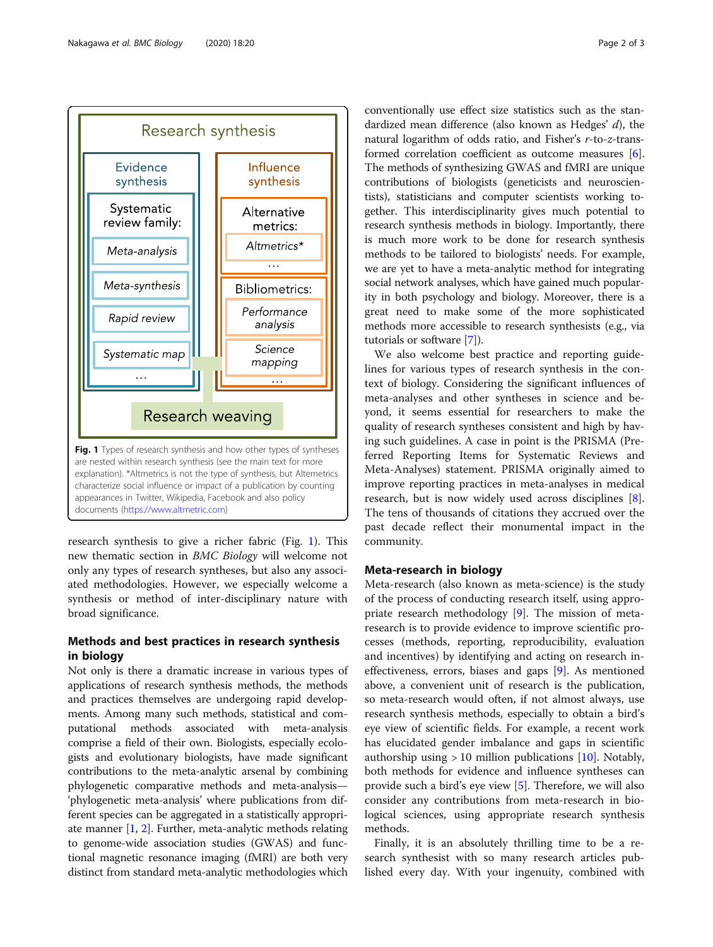

<span id="page-1-0"></span>

research synthesis to give a richer fabric (Fig. 1). This new thematic section in BMC Biology will welcome not only any types of research syntheses, but also any associated methodologies. However, we especially welcome a synthesis or method of inter-disciplinary nature with broad significance.

# Methods and best practices in research synthesis in biology

Not only is there a dramatic increase in various types of applications of research synthesis methods, the methods and practices themselves are undergoing rapid developments. Among many such methods, statistical and computational methods associated with meta-analysis comprise a field of their own. Biologists, especially ecologists and evolutionary biologists, have made significant contributions to the meta-analytic arsenal by combining phylogenetic comparative methods and meta-analysis— 'phylogenetic meta-analysis' where publications from different species can be aggregated in a statistically appropriate manner [\[1](#page-2-0), [2\]](#page-2-0). Further, meta-analytic methods relating to genome-wide association studies (GWAS) and functional magnetic resonance imaging (fMRI) are both very distinct from standard meta-analytic methodologies which

conventionally use effect size statistics such as the standardized mean difference (also known as Hedges' d), the natural logarithm of odds ratio, and Fisher's r-to-z-transformed correlation coefficient as outcome measures [[6](#page-2-0)]. The methods of synthesizing GWAS and fMRI are unique contributions of biologists (geneticists and neuroscientists), statisticians and computer scientists working together. This interdisciplinarity gives much potential to research synthesis methods in biology. Importantly, there is much more work to be done for research synthesis methods to be tailored to biologists' needs. For example, we are yet to have a meta-analytic method for integrating social network analyses, which have gained much popularity in both psychology and biology. Moreover, there is a great need to make some of the more sophisticated methods more accessible to research synthesists (e.g., via tutorials or software [[7\]](#page-2-0)).

We also welcome best practice and reporting guidelines for various types of research synthesis in the context of biology. Considering the significant influences of meta-analyses and other syntheses in science and beyond, it seems essential for researchers to make the quality of research syntheses consistent and high by having such guidelines. A case in point is the PRISMA (Preferred Reporting Items for Systematic Reviews and Meta-Analyses) statement. PRISMA originally aimed to improve reporting practices in meta-analyses in medical research, but is now widely used across disciplines [\[8](#page-2-0)]. The tens of thousands of citations they accrued over the past decade reflect their monumental impact in the community.

### Meta-research in biology

Meta-research (also known as meta-science) is the study of the process of conducting research itself, using appropriate research methodology [[9\]](#page-2-0). The mission of metaresearch is to provide evidence to improve scientific processes (methods, reporting, reproducibility, evaluation and incentives) by identifying and acting on research ineffectiveness, errors, biases and gaps [\[9](#page-2-0)]. As mentioned above, a convenient unit of research is the publication, so meta-research would often, if not almost always, use research synthesis methods, especially to obtain a bird's eye view of scientific fields. For example, a recent work has elucidated gender imbalance and gaps in scientific authorship using  $> 10$  million publications [[10\]](#page-2-0). Notably, both methods for evidence and influence syntheses can provide such a bird's eye view [[5\]](#page-2-0). Therefore, we will also consider any contributions from meta-research in biological sciences, using appropriate research synthesis methods.

Finally, it is an absolutely thrilling time to be a research synthesist with so many research articles published every day. With your ingenuity, combined with